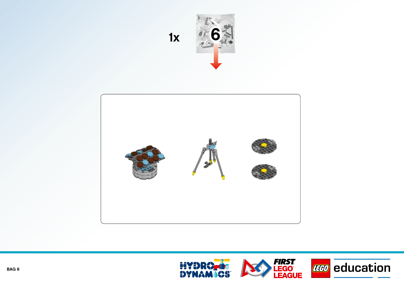

**1x 6**



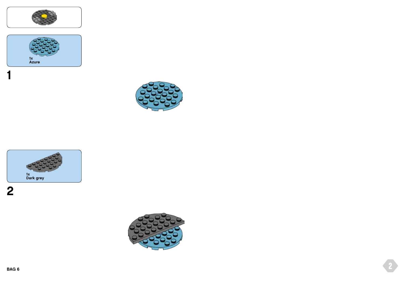









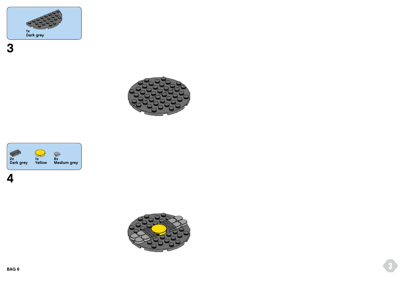







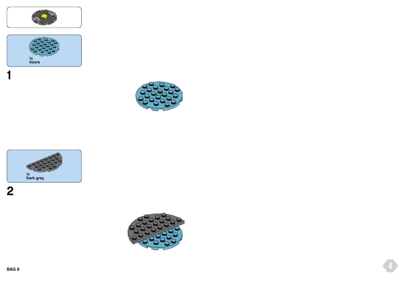











**4**

**BAG 6**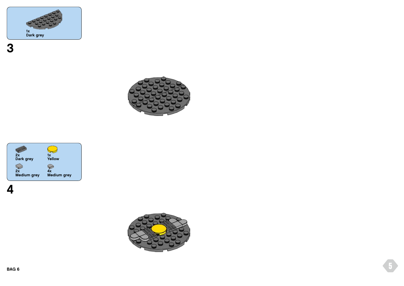







**BAG 6**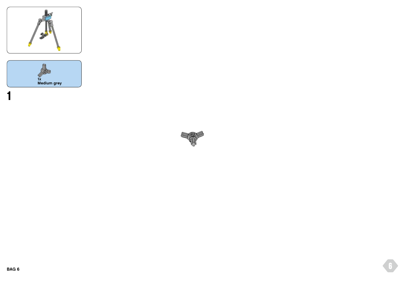



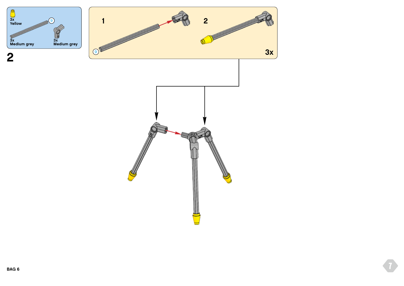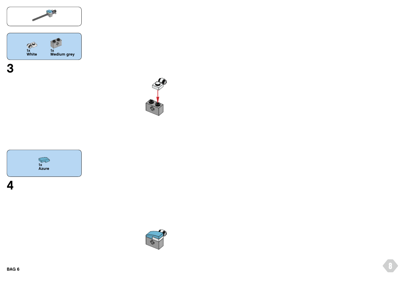



SP





**BAG 6**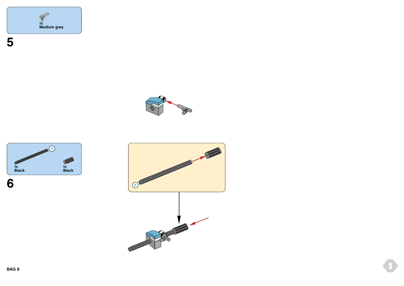





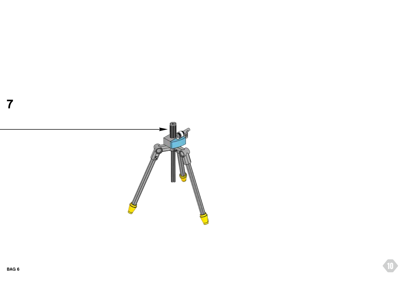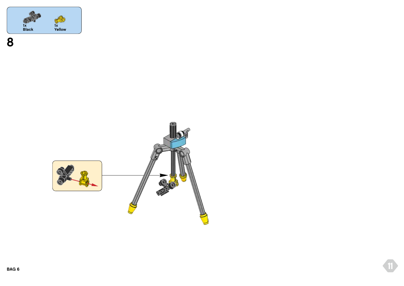

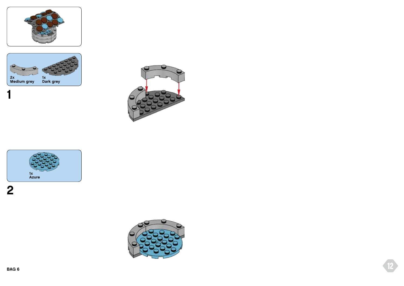







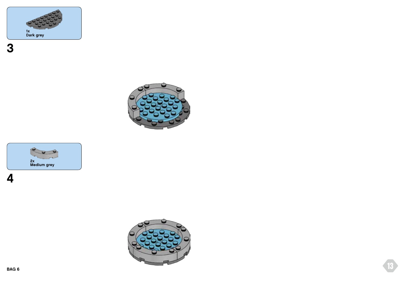





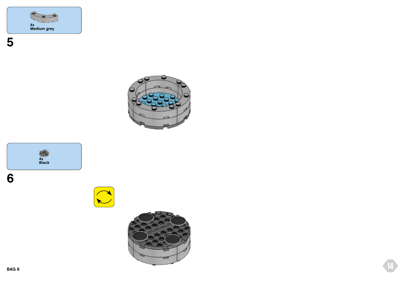







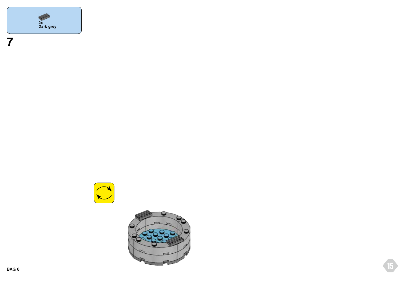



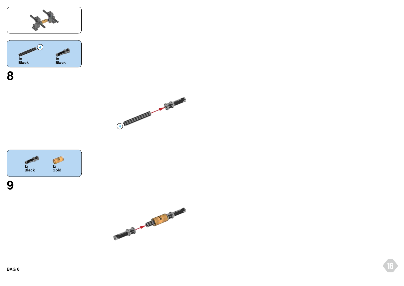







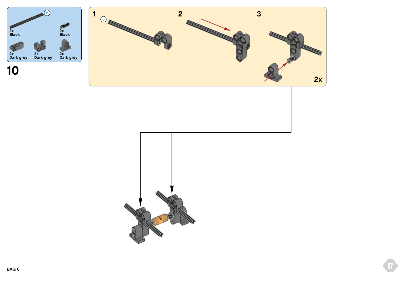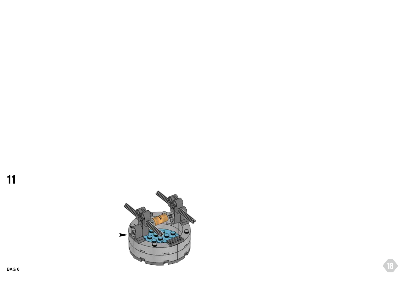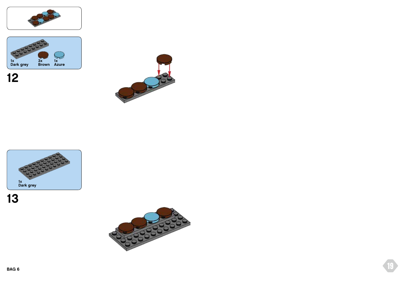









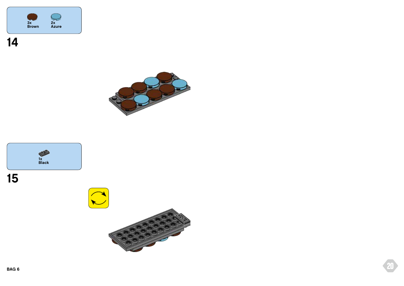







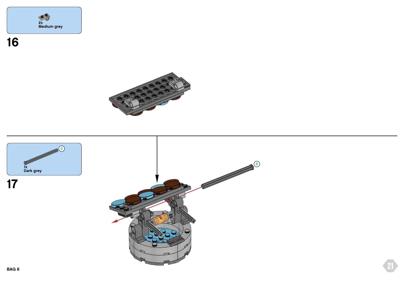





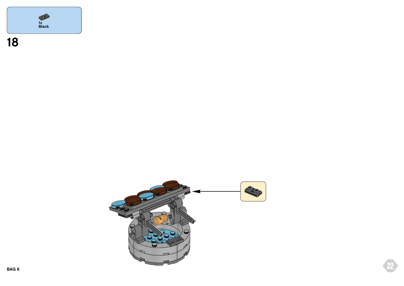

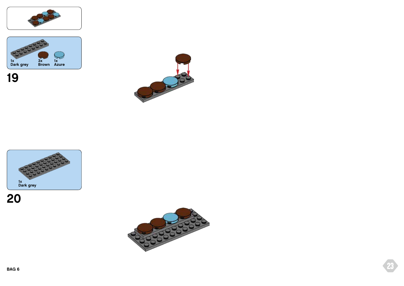

## **20**



## **19**





**BAG 6 23**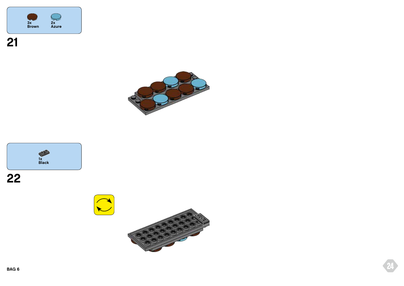







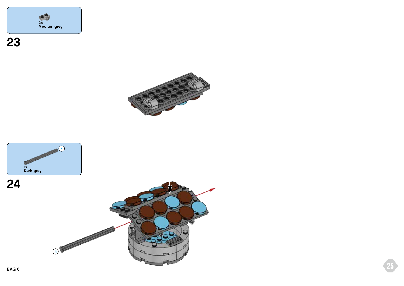